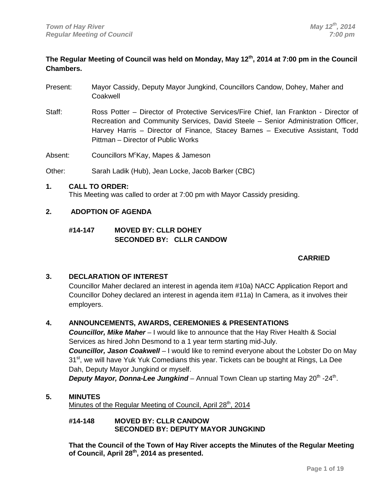## **The Regular Meeting of Council was held on Monday, May 12th, 2014 at 7:00 pm in the Council Chambers.**

- Present: Mayor Cassidy, Deputy Mayor Jungkind, Councillors Candow, Dohey, Maher and Coakwell
- Staff: Ross Potter Director of Protective Services/Fire Chief, Ian Frankton Director of Recreation and Community Services, David Steele – Senior Administration Officer, Harvey Harris – Director of Finance, Stacey Barnes – Executive Assistant, Todd Pittman – Director of Public Works

Absent: Councillors M<sup>c</sup>Kay, Mapes & Jameson

Other: Sarah Ladik (Hub), Jean Locke, Jacob Barker (CBC)

## **1. CALL TO ORDER:**

This Meeting was called to order at 7:00 pm with Mayor Cassidy presiding.

## **2. ADOPTION OF AGENDA**

## **#14-147 MOVED BY: CLLR DOHEY SECONDED BY: CLLR CANDOW**

## **CARRIED**

## **3. DECLARATION OF INTEREST**

Councillor Maher declared an interest in agenda item #10a) NACC Application Report and Councillor Dohey declared an interest in agenda item #11a) In Camera, as it involves their employers.

## **4. ANNOUNCEMENTS, AWARDS, CEREMONIES & PRESENTATIONS**

*Councillor, Mike Maher* – I would like to announce that the Hay River Health & Social Services as hired John Desmond to a 1 year term starting mid-July.

**Councillor, Jason Coakwell** – I would like to remind everyone about the Lobster Do on May 31<sup>st</sup>, we will have Yuk Yuk Comedians this year. Tickets can be bought at Rings, La Dee Dah, Deputy Mayor Jungkind or myself.

**Deputy Mayor, Donna-Lee Jungkind** – Annual Town Clean up starting May 20<sup>th</sup> -24<sup>th</sup>.

## **5. MINUTES**

Minutes of the Regular Meeting of Council, April 28<sup>th</sup>, 2014

#### **#14-148 MOVED BY: CLLR CANDOW SECONDED BY: DEPUTY MAYOR JUNGKIND**

**That the Council of the Town of Hay River accepts the Minutes of the Regular Meeting of Council, April 28th, 2014 as presented.**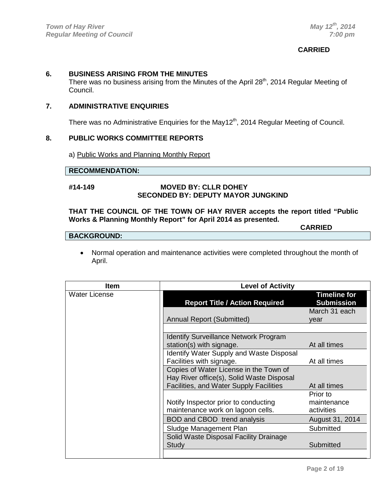## **CARRIED**

**CARRIED**

## **6. BUSINESS ARISING FROM THE MINUTES**

There was no business arising from the Minutes of the April 28<sup>th</sup>, 2014 Regular Meeting of Council.

## **7. ADMINISTRATIVE ENQUIRIES**

There was no Administrative Enquiries for the May12<sup>th</sup>, 2014 Regular Meeting of Council.

## **8. PUBLIC WORKS COMMITTEE REPORTS**

a) Public Works and Planning Monthly Report

#### **RECOMMENDATION:**

#### **#14-149 MOVED BY: CLLR DOHEY SECONDED BY: DEPUTY MAYOR JUNGKIND**

#### **THAT THE COUNCIL OF THE TOWN OF HAY RIVER accepts the report titled "Public Works & Planning Monthly Report" for April 2014 as presented.**

## **BACKGROUND:**

• Normal operation and maintenance activities were completed throughout the month of April.

| <b>Item</b>          | <b>Level of Activity</b>                                                            |                                          |
|----------------------|-------------------------------------------------------------------------------------|------------------------------------------|
| <b>Water License</b> | <b>Report Title / Action Required</b>                                               | <b>Timeline for</b><br><b>Submission</b> |
|                      | <b>Annual Report (Submitted)</b>                                                    | March 31 each<br>vear                    |
|                      | <b>Identify Surveillance Network Program</b><br>station(s) with signage.            | At all times                             |
|                      | <b>Identify Water Supply and Waste Disposal</b><br>Facilities with signage.         | At all times                             |
|                      | Copies of Water License in the Town of<br>Hay River office(s), Solid Waste Disposal |                                          |
|                      | Facilities, and Water Supply Facilities                                             | At all times<br>Prior to                 |
|                      | Notify Inspector prior to conducting<br>maintenance work on lagoon cells.           | maintenance<br>activities                |
|                      | BOD and CBOD trend analysis<br>Sludge Management Plan                               | August 31, 2014<br>Submitted             |
|                      | Solid Waste Disposal Facility Drainage<br>Study                                     | Submitted                                |
|                      |                                                                                     |                                          |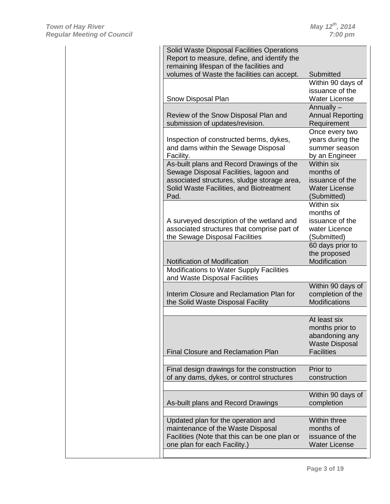| Solid Waste Disposal Facilities Operations                                    |                                                                                                   |
|-------------------------------------------------------------------------------|---------------------------------------------------------------------------------------------------|
|                                                                               |                                                                                                   |
| Report to measure, define, and identify the                                   |                                                                                                   |
| remaining lifespan of the facilities and                                      |                                                                                                   |
| volumes of Waste the facilities can accept.                                   | Submitted                                                                                         |
|                                                                               | Within 90 days of                                                                                 |
|                                                                               | issuance of the                                                                                   |
| Snow Disposal Plan                                                            | <b>Water License</b>                                                                              |
|                                                                               | Annually -                                                                                        |
| Review of the Snow Disposal Plan and                                          | <b>Annual Reporting</b>                                                                           |
|                                                                               |                                                                                                   |
| submission of updates/revision.                                               | Requirement                                                                                       |
|                                                                               | Once every two                                                                                    |
| Inspection of constructed berms, dykes,                                       | years during the                                                                                  |
| and dams within the Sewage Disposal                                           | summer season                                                                                     |
| Facility.                                                                     | by an Engineer                                                                                    |
| As-built plans and Record Drawings of the                                     | Within six                                                                                        |
| Sewage Disposal Facilities, lagoon and                                        | months of                                                                                         |
| associated structures, sludge storage area,                                   | issuance of the                                                                                   |
|                                                                               |                                                                                                   |
| Solid Waste Facilities, and Biotreatment                                      | <b>Water License</b>                                                                              |
| Pad.                                                                          | (Submitted)                                                                                       |
|                                                                               | Within six                                                                                        |
|                                                                               | months of                                                                                         |
| A surveyed description of the wetland and                                     | issuance of the                                                                                   |
| associated structures that comprise part of                                   | water Licence                                                                                     |
| the Sewage Disposal Facilities                                                | (Submitted)                                                                                       |
|                                                                               | 60 days prior to                                                                                  |
|                                                                               |                                                                                                   |
|                                                                               | the proposed                                                                                      |
| Notification of Modification                                                  | Modification                                                                                      |
| Modifications to Water Supply Facilities                                      |                                                                                                   |
| and Waste Disposal Facilities                                                 |                                                                                                   |
|                                                                               |                                                                                                   |
|                                                                               |                                                                                                   |
| Interim Closure and Reclamation Plan for                                      |                                                                                                   |
| the Solid Waste Disposal Facility                                             | <b>Modifications</b>                                                                              |
|                                                                               |                                                                                                   |
|                                                                               |                                                                                                   |
|                                                                               | At least six                                                                                      |
|                                                                               | months prior to                                                                                   |
|                                                                               |                                                                                                   |
|                                                                               |                                                                                                   |
| <b>Final Closure and Reclamation Plan</b>                                     | <b>Facilities</b>                                                                                 |
|                                                                               |                                                                                                   |
| Final design drawings for the construction                                    | Prior to                                                                                          |
|                                                                               |                                                                                                   |
| of any dams, dykes, or control structures                                     | Within 90 days of<br>completion of the<br>abandoning any<br><b>Waste Disposal</b><br>construction |
|                                                                               |                                                                                                   |
|                                                                               |                                                                                                   |
| As-built plans and Record Drawings                                            | completion                                                                                        |
|                                                                               |                                                                                                   |
| Updated plan for the operation and                                            | Within three                                                                                      |
| maintenance of the Waste Disposal                                             | Within 90 days of<br>months of                                                                    |
|                                                                               |                                                                                                   |
| Facilities (Note that this can be one plan or<br>one plan for each Facility.) | issuance of the<br><b>Water License</b>                                                           |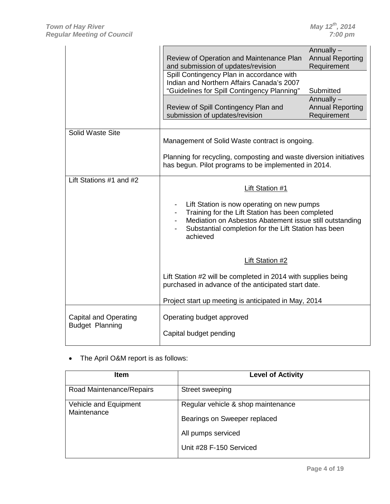|                                                        | Review of Operation and Maintenance Plan<br>and submission of updates/revision<br>Spill Contingency Plan in accordance with<br>Indian and Northern Affairs Canada's 2007<br>"Guidelines for Spill Contingency Planning"                                                                     | Annually -<br><b>Annual Reporting</b><br>Requirement<br>Submitted<br>Annually $-$ |
|--------------------------------------------------------|---------------------------------------------------------------------------------------------------------------------------------------------------------------------------------------------------------------------------------------------------------------------------------------------|-----------------------------------------------------------------------------------|
|                                                        | Review of Spill Contingency Plan and<br>submission of updates/revision                                                                                                                                                                                                                      | <b>Annual Reporting</b><br>Requirement                                            |
| Solid Waste Site                                       | Management of Solid Waste contract is ongoing.<br>Planning for recycling, composting and waste diversion initiatives<br>has begun. Pilot programs to be implemented in 2014.                                                                                                                |                                                                                   |
| Lift Stations $#1$ and $#2$                            | <b>Lift Station #1</b><br>Lift Station is now operating on new pumps<br>Training for the Lift Station has been completed<br>$\blacksquare$<br>Mediation on Asbestos Abatement issue still outstanding<br>$\blacksquare$<br>Substantial completion for the Lift Station has been<br>achieved |                                                                                   |
|                                                        | <b>Lift Station #2</b>                                                                                                                                                                                                                                                                      |                                                                                   |
|                                                        | Lift Station #2 will be completed in 2014 with supplies being<br>purchased in advance of the anticipated start date.                                                                                                                                                                        |                                                                                   |
|                                                        | Project start up meeting is anticipated in May, 2014                                                                                                                                                                                                                                        |                                                                                   |
| <b>Capital and Operating</b><br><b>Budget Planning</b> | Operating budget approved<br>Capital budget pending                                                                                                                                                                                                                                         |                                                                                   |

• The April O&M report is as follows:

| <b>Item</b>                          | <b>Level of Activity</b>                                                                                            |
|--------------------------------------|---------------------------------------------------------------------------------------------------------------------|
| Road Maintenance/Repairs             | Street sweeping                                                                                                     |
| Vehicle and Equipment<br>Maintenance | Regular vehicle & shop maintenance<br>Bearings on Sweeper replaced<br>All pumps serviced<br>Unit #28 F-150 Serviced |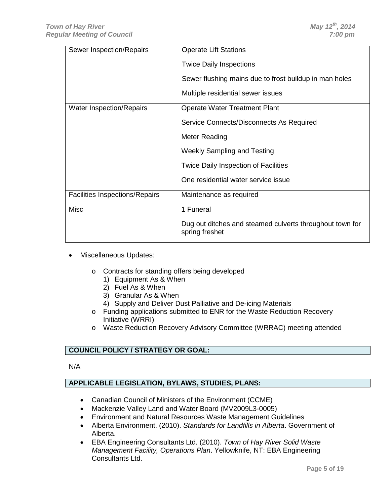| Sewer Inspection/Repairs              | <b>Operate Lift Stations</b>                                               |  |
|---------------------------------------|----------------------------------------------------------------------------|--|
|                                       | <b>Twice Daily Inspections</b>                                             |  |
|                                       | Sewer flushing mains due to frost buildup in man holes                     |  |
|                                       | Multiple residential sewer issues                                          |  |
| <b>Water Inspection/Repairs</b>       | <b>Operate Water Treatment Plant</b>                                       |  |
|                                       | Service Connects/Disconnects As Required                                   |  |
|                                       | <b>Meter Reading</b>                                                       |  |
|                                       | <b>Weekly Sampling and Testing</b>                                         |  |
|                                       | <b>Twice Daily Inspection of Facilities</b>                                |  |
|                                       | One residential water service issue                                        |  |
| <b>Facilities Inspections/Repairs</b> | Maintenance as required                                                    |  |
| <b>Misc</b>                           | 1 Funeral                                                                  |  |
|                                       | Dug out ditches and steamed culverts throughout town for<br>spring freshet |  |

- Miscellaneous Updates:
	- o Contracts for standing offers being developed
		- 1) Equipment As & When
		- 2) Fuel As & When
		- 3) Granular As & When
		- 4) Supply and Deliver Dust Palliative and De-icing Materials
	- o Funding applications submitted to ENR for the Waste Reduction Recovery Initiative (WRRI)
	- o Waste Reduction Recovery Advisory Committee (WRRAC) meeting attended

N/A

## **APPLICABLE LEGISLATION, BYLAWS, STUDIES, PLANS:**

- Canadian Council of Ministers of the Environment (CCME)
- Mackenzie Valley Land and Water Board (MV2009L3-0005)
- Environment and Natural Resources Waste Management Guidelines
- Alberta Environment. (2010). *Standards for Landfills in Alberta*. Government of Alberta.
- EBA Engineering Consultants Ltd. (2010). *Town of Hay River Solid Waste Management Facility, Operations Plan*. Yellowknife, NT: EBA Engineering Consultants Ltd.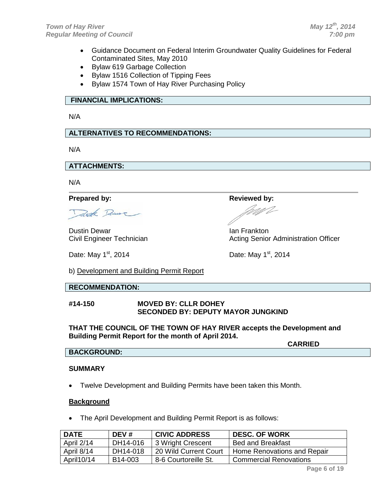- Guidance Document on Federal Interim Groundwater Quality Guidelines for Federal Contaminated Sites, May 2010
- Bylaw 619 Garbage Collection
- Bylaw 1516 Collection of Tipping Fees
- Bylaw 1574 Town of Hay River Purchasing Policy

## **FINANCIAL IMPLICATIONS:**

N/A

## **ALTERNATIVES TO RECOMMENDATIONS:**

N/A

**ATTACHMENTS:**

N/A

#### **Prepared by: Reviewed by: Reviewed by:**

Trook Remove

Dustin Dewar<br>Civil Engineer Technician<br>Civil Engineer Technician<br>Acting Senior

Date: May  $1^{st}$ , 2014  $\qquad \qquad$  Date: May  $1^{st}$ , 2014

Acting Senior Administration Officer

b) Development and Building Permit Report

## **RECOMMENDATION:**

#### **#14-150 MOVED BY: CLLR DOHEY SECONDED BY: DEPUTY MAYOR JUNGKIND**

**THAT THE COUNCIL OF THE TOWN OF HAY RIVER accepts the Development and Building Permit Report for the month of April 2014.**

**CARRIED**

# **BACKGROUND:**

## **SUMMARY**

• Twelve Development and Building Permits have been taken this Month.

#### **Background**

• The April Development and Building Permit Report is as follows:

| <b>DATE</b> | DEV#                 | <b>CIVIC ADDRESS</b>  | <b>DESC. OF WORK</b>          |
|-------------|----------------------|-----------------------|-------------------------------|
| April 2/14  | DH14-016             | 3 Wright Crescent     | Bed and Breakfast             |
| April 8/14  | DH14-018             | 20 Wild Current Court | Home Renovations and Repair   |
| April 10/14 | B <sub>14</sub> -003 | 8-6 Courtoreille St.  | <b>Commercial Renovations</b> |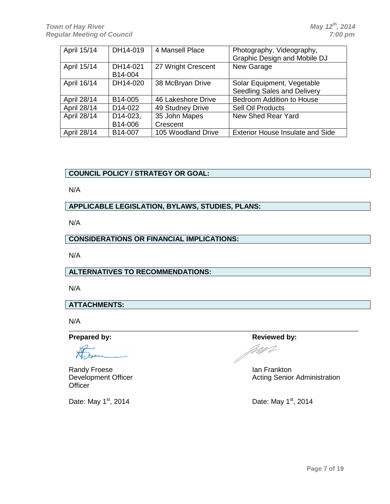| April 15/14 | DH14-019             | 4 Mansell Place    | Photography, Videography,               |
|-------------|----------------------|--------------------|-----------------------------------------|
|             |                      |                    | Graphic Design and Mobile DJ            |
| April 15/14 | DH14-021             | 27 Wright Crescent | New Garage                              |
|             | B14-004              |                    |                                         |
| April 16/14 | DH14-020             | 38 McBryan Drive   | Solar Equipment, Vegetable              |
|             |                      |                    | Seedling Sales and Delivery             |
| April 28/14 | B14-005              | 46 Lakeshore Drive | Bedroom Addition to House               |
| April 28/14 | D <sub>14</sub> -022 | 49 Studney Drive   | Sell Oil Products                       |
| April 28/14 | D14-023,             | 35 John Mapes      | New Shed Rear Yard                      |
|             | B14-006              | Crescent           |                                         |
| April 28/14 | B14-007              | 105 Woodland Drive | <b>Exterior House Insulate and Side</b> |

N/A

## **APPLICABLE LEGISLATION, BYLAWS, STUDIES, PLANS:**

N/A

## **CONSIDERATIONS OR FINANCIAL IMPLICATIONS:**

N/A

## **ALTERNATIVES TO RECOMMENDATIONS:**

N/A

## **ATTACHMENTS:**

N/A

Randy Froese<br>
Development Officer<br>
Development Officer<br>
Contract Later and Acting Senior<br>
Acting Senior **Officer** 

Date: May  $1^{st}$ , 2014  $\qquad \qquad$ Date: May  $1^{st}$ , 2014

**Prepared by: Reviewed by: Reviewed by: Reviewed by:** MU

Acting Senior Administration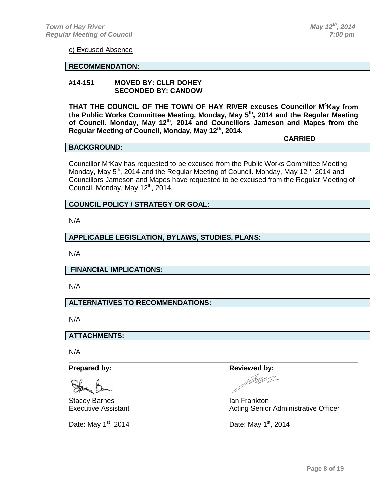**CARRIED**

c) Excused Absence

## **RECOMMENDATION:**

#### **#14-151 MOVED BY: CLLR DOHEY SECONDED BY: CANDOW**

**THAT THE COUNCIL OF THE TOWN OF HAY RIVER excuses Councillor M<sup>c</sup> Kay from the Public Works Committee Meeting, Monday, May 5th, 2014 and the Regular Meeting of Council. Monday, May 12th, 2014 and Councillors Jameson and Mapes from the Regular Meeting of Council, Monday, May 12th, 2014.**

#### **BACKGROUND:**

Councillor M<sup>c</sup>Kay has requested to be excused from the Public Works Committee Meeting, Monday, May  $5<sup>th</sup>$ , 2014 and the Regular Meeting of Council. Monday, May 12<sup>th</sup>, 2014 and Councillors Jameson and Mapes have requested to be excused from the Regular Meeting of Council, Monday, May 12<sup>th</sup>, 2014.

## **COUNCIL POLICY / STRATEGY OR GOAL:**

N/A

#### **APPLICABLE LEGISLATION, BYLAWS, STUDIES, PLANS:**

N/A

**FINANCIAL IMPLICATIONS:**

N/A

#### **ALTERNATIVES TO RECOMMENDATIONS:**

N/A

**ATTACHMENTS:**

N/A

Stacey Barnes **International Contract Contract Contract Contract Contract Contract Contract Contract Contract Contract Contract Contract Contract Contract Contract Contract Contract Contract Contract Contract Contract Cont** 

Date: May  $1^{st}$ , 2014 Date: May  $1^{st}$ , 2014

#### **Prepared by: Reviewed by: Reviewed by: Reviewed by:**

Executive Assistant **Acting Senior Administrative Officer** Acting Senior Administrative Officer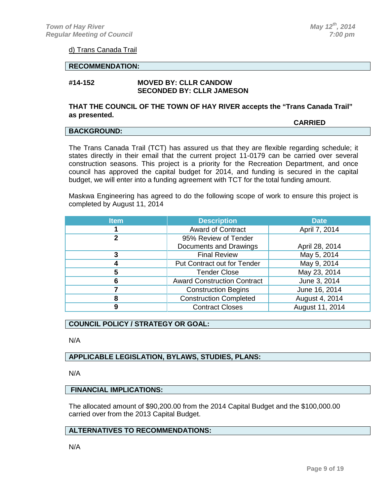#### d) Trans Canada Trail

#### **RECOMMENDATION:**

#### **#14-152 MOVED BY: CLLR CANDOW SECONDED BY: CLLR JAMESON**

#### **THAT THE COUNCIL OF THE TOWN OF HAY RIVER accepts the "Trans Canada Trail" as presented.**

#### **BACKGROUND:**

**CARRIED**

The Trans Canada Trail (TCT) has assured us that they are flexible regarding schedule; it states directly in their email that the current project 11-0179 can be carried over several construction seasons. This project is a priority for the Recreation Department, and once council has approved the capital budget for 2014, and funding is secured in the capital budget, we will enter into a funding agreement with TCT for the total funding amount.

Maskwa Engineering has agreed to do the following scope of work to ensure this project is completed by August 11, 2014

| <b>Item</b> | <b>Description</b>                 | <b>Date</b>     |
|-------------|------------------------------------|-----------------|
|             | Award of Contract                  | April 7, 2014   |
| 2           | 95% Review of Tender               |                 |
|             | Documents and Drawings             | April 28, 2014  |
| 3           | <b>Final Review</b>                | May 5, 2014     |
| 4           | Put Contract out for Tender        | May 9, 2014     |
| 5           | <b>Tender Close</b>                | May 23, 2014    |
| 6           | <b>Award Construction Contract</b> | June 3, 2014    |
|             | <b>Construction Begins</b>         | June 16, 2014   |
| 8           | <b>Construction Completed</b>      | August 4, 2014  |
| 9           | <b>Contract Closes</b>             | August 11, 2014 |

## **COUNCIL POLICY / STRATEGY OR GOAL:**

N/A

## **APPLICABLE LEGISLATION, BYLAWS, STUDIES, PLANS:**

N/A

## **FINANCIAL IMPLICATIONS:**

The allocated amount of \$90,200.00 from the 2014 Capital Budget and the \$100,000.00 carried over from the 2013 Capital Budget.

## **ALTERNATIVES TO RECOMMENDATIONS:**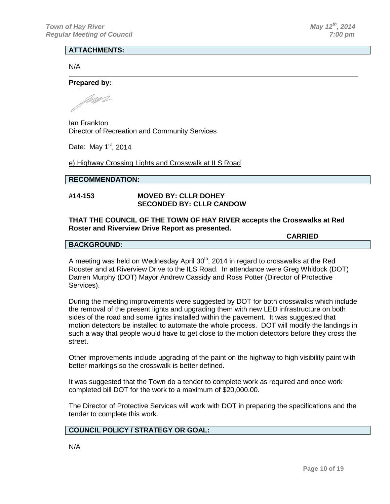#### **ATTACHMENTS:**

N/A

#### **Prepared by:**

mp

Ian Frankton Director of Recreation and Community Services

Date: May  $1<sup>st</sup>$ , 2014

e) Highway Crossing Lights and Crosswalk at ILS Road

#### **RECOMMENDATION:**

#### **#14-153 MOVED BY: CLLR DOHEY SECONDED BY: CLLR CANDOW**

#### **THAT THE COUNCIL OF THE TOWN OF HAY RIVER accepts the Crosswalks at Red Roster and Riverview Drive Report as presented.**

**CARRIED**

#### **BACKGROUND:**

A meeting was held on Wednesday April  $30<sup>th</sup>$ , 2014 in regard to crosswalks at the Red Rooster and at Riverview Drive to the ILS Road. In attendance were Greg Whitlock (DOT) Darren Murphy (DOT) Mayor Andrew Cassidy and Ross Potter (Director of Protective Services).

During the meeting improvements were suggested by DOT for both crosswalks which include the removal of the present lights and upgrading them with new LED infrastructure on both sides of the road and some lights installed within the pavement. It was suggested that motion detectors be installed to automate the whole process. DOT will modify the landings in such a way that people would have to get close to the motion detectors before they cross the street.

Other improvements include upgrading of the paint on the highway to high visibility paint with better markings so the crosswalk is better defined.

It was suggested that the Town do a tender to complete work as required and once work completed bill DOT for the work to a maximum of \$20,000.00.

The Director of Protective Services will work with DOT in preparing the specifications and the tender to complete this work.

#### **COUNCIL POLICY / STRATEGY OR GOAL:**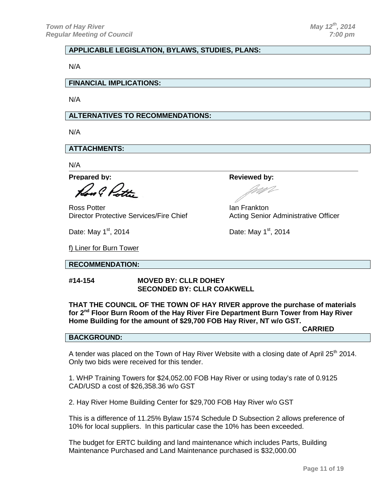## **APPLICABLE LEGISLATION, BYLAWS, STUDIES, PLANS:**

N/A

**FINANCIAL IMPLICATIONS:**

N/A

## **ALTERNATIVES TO RECOMMENDATIONS:**

N/A

**ATTACHMENTS:**

N/A

**Prepared by: Reviewed by: Reviewed by: Reviewed by:** 

Lo l Du

Ross Potter<br>Director Protective Services/Fire Chief **Ian Frankton**<br>Acting Senior

Date: May  $1^{st}$ , 2014 Date: May  $1^{st}$ , 2014

f) Liner for Burn Tower

#### **RECOMMENDATION:**

#### **#14-154 MOVED BY: CLLR DOHEY SECONDED BY: CLLR COAKWELL**

**THAT THE COUNCIL OF THE TOWN OF HAY RIVER approve the purchase of materials for 2nd Floor Burn Room of the Hay River Fire Department Burn Tower from Hay River Home Building for the amount of \$29,700 FOB Hay River, NT w/o GST.**

**CARRIED**

Acting Senior Administrative Officer

## **BACKGROUND:**

A tender was placed on the Town of Hay River Website with a closing date of April 25<sup>th</sup> 2014. Only two bids were received for this tender.

1. WHP Training Towers for \$24,052.00 FOB Hay River or using today's rate of 0.9125 CAD/USD a cost of \$26,358.36 w/o GST

2. Hay River Home Building Center for \$29,700 FOB Hay River w/o GST

This is a difference of 11.25% Bylaw 1574 Schedule D Subsection 2 allows preference of 10% for local suppliers. In this particular case the 10% has been exceeded.

The budget for ERTC building and land maintenance which includes Parts, Building Maintenance Purchased and Land Maintenance purchased is \$32,000.00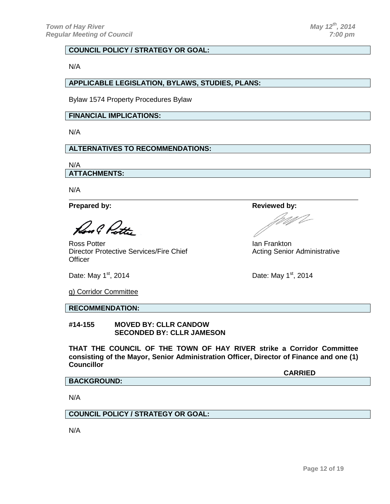N/A

#### **APPLICABLE LEGISLATION, BYLAWS, STUDIES, PLANS:**

Bylaw 1574 Property Procedures Bylaw

## **FINANCIAL IMPLICATIONS:**

N/A

## **ALTERNATIVES TO RECOMMENDATIONS:**

N/A **ATTACHMENTS:**

N/A

**Prepared by: Reviewed by: Reviewed by: Reviewed by:** 

Royal Putt

Ross Potter **Ian Frankton** Ian Frankton Director Protective Services/Fire Chief Acting Senior Administrative **Officer** 

Date: May  $1^{st}$ , 2014 Date: May  $1^{st}$ , 2014

g) Corridor Committee

**RECOMMENDATION:**

**#14-155 MOVED BY: CLLR CANDOW SECONDED BY: CLLR JAMESON**

**THAT THE COUNCIL OF THE TOWN OF HAY RIVER strike a Corridor Committee consisting of the Mayor, Senior Administration Officer, Director of Finance and one (1) Councillor** 

**CARRIED**

#### **BACKGROUND:**

N/A

## **COUNCIL POLICY / STRATEGY OR GOAL:**

U 1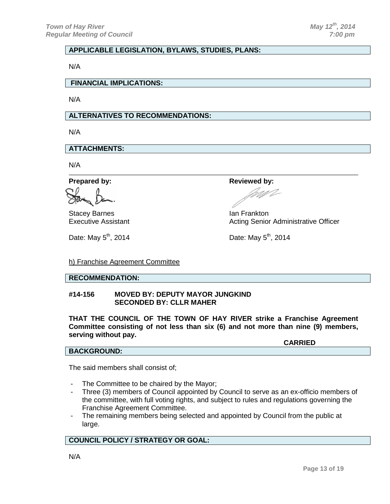## **APPLICABLE LEGISLATION, BYLAWS, STUDIES, PLANS:**

N/A

**FINANCIAL IMPLICATIONS:**

N/A

## **ALTERNATIVES TO RECOMMENDATIONS:**

N/A

**ATTACHMENTS:**

N/A

**Prepared by: Reviewed by: Reviewed by:** 

Stacey Barnes<br>
Executive Assistant<br>
Executive Assistant

Acting Senior Administrative Officer

Date: May  $5^{th}$ , 2014 **Date: May**  $5^{th}$ , 2014

h) Franchise Agreement Committee

### **RECOMMENDATION:**

**#14-156 MOVED BY: DEPUTY MAYOR JUNGKIND SECONDED BY: CLLR MAHER**

**THAT THE COUNCIL OF THE TOWN OF HAY RIVER strike a Franchise Agreement Committee consisting of not less than six (6) and not more than nine (9) members, serving without pay.**

**CARRIED**

**BACKGROUND:**

The said members shall consist of;

- The Committee to be chaired by the Mayor;
- Three (3) members of Council appointed by Council to serve as an ex-officio members of the committee, with full voting rights, and subject to rules and regulations governing the Franchise Agreement Committee.
- The remaining members being selected and appointed by Council from the public at large.

#### **COUNCIL POLICY / STRATEGY OR GOAL:**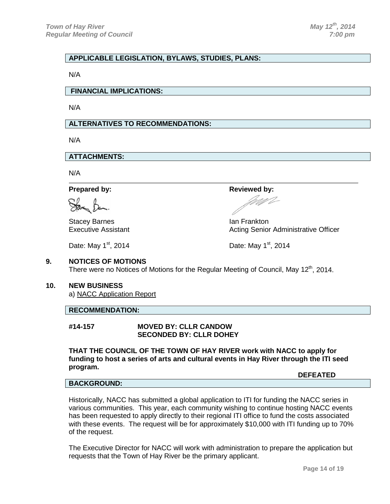## **APPLICABLE LEGISLATION, BYLAWS, STUDIES, PLANS:**

N/A

**FINANCIAL IMPLICATIONS:**

N/A

#### **ALTERNATIVES TO RECOMMENDATIONS:**

N/A

**ATTACHMENTS:**

N/A

Stacey Barnes **International Community** Changes and Ian Frankton

**Prepared by: Reviewed** by:

Executive Assistant **Acting Senior Administrative Officer** Acting Senior Administrative Officer

Date: May  $1^{st}$ , 2014 Date: May  $1^{st}$ , 2014

#### **9. NOTICES OF MOTIONS**

There were no Notices of Motions for the Regular Meeting of Council, May 12<sup>th</sup>, 2014.

#### **10. NEW BUSINESS**

a) NACC Application Report

#### **RECOMMENDATION:**

**#14-157 MOVED BY: CLLR CANDOW SECONDED BY: CLLR DOHEY**

**THAT THE COUNCIL OF THE TOWN OF HAY RIVER work with NACC to apply for funding to host a series of arts and cultural events in Hay River through the ITI seed program.**

#### **BACKGROUND:**

Historically, NACC has submitted a global application to ITI for funding the NACC series in various communities. This year, each community wishing to continue hosting NACC events has been requested to apply directly to their regional ITI office to fund the costs associated with these events. The request will be for approximately \$10,000 with ITI funding up to 70% of the request.

The Executive Director for NACC will work with administration to prepare the application but requests that the Town of Hay River be the primary applicant.

**DEFEATED**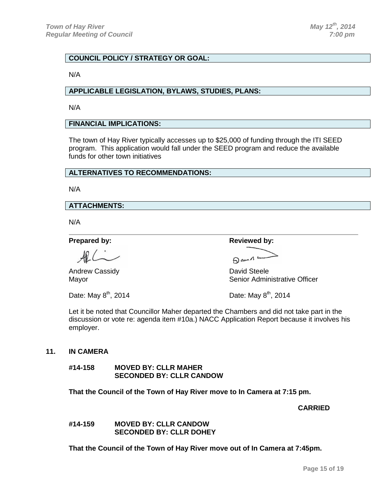N/A

#### **APPLICABLE LEGISLATION, BYLAWS, STUDIES, PLANS:**

N/A

#### **FINANCIAL IMPLICATIONS:**

The town of Hay River typically accesses up to \$25,000 of funding through the ITI SEED program. This application would fall under the SEED program and reduce the available funds for other town initiatives

## **ALTERNATIVES TO RECOMMENDATIONS:**

N/A

#### **ATTACHMENTS:**

N/A

Andrew Cassidy **David Steele** 

**Prepared by: Reviewed by: Reviewed by: Reviewed by:** 

 $A^{\omega \cdot \Lambda}$ 

Mayor **Mayor** Senior Administrative Officer

Date: May  $8^{th}$ , 2014  $\qquad \qquad$  Date: May  $8^{th}$ , 2014

Let it be noted that Councillor Maher departed the Chambers and did not take part in the discussion or vote re: agenda item #10a.) NACC Application Report because it involves his employer.

#### **11. IN CAMERA**

**#14-158 MOVED BY: CLLR MAHER SECONDED BY: CLLR CANDOW**

**That the Council of the Town of Hay River move to In Camera at 7:15 pm.**

**CARRIED**

**#14-159 MOVED BY: CLLR CANDOW SECONDED BY: CLLR DOHEY**

**That the Council of the Town of Hay River move out of In Camera at 7:45pm.**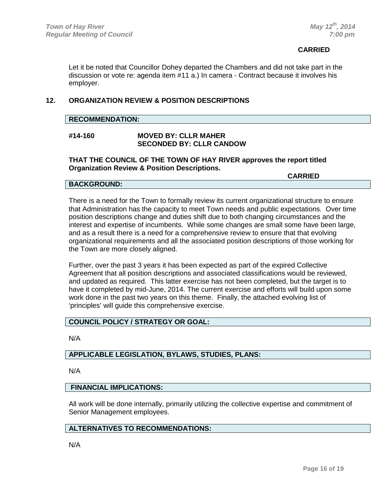## **CARRIED CARRIED**

Let it be noted that Councillor Dohey departed the Chambers and did not take part in the discussion or vote re: agenda item #11 a.) In camera - Contract because it involves his employer.

## **12. ORGANIZATION REVIEW & POSITION DESCRIPTIONS**

#### **RECOMMENDATION:**

#### **#14-160 MOVED BY: CLLR MAHER SECONDED BY: CLLR CANDOW**

#### **THAT THE COUNCIL OF THE TOWN OF HAY RIVER approves the report titled Organization Review & Position Descriptions.**

**CARRIED**

## **BACKGROUND:**

There is a need for the Town to formally review its current organizational structure to ensure that Administration has the capacity to meet Town needs and public expectations. Over time position descriptions change and duties shift due to both changing circumstances and the interest and expertise of incumbents. While some changes are small some have been large, and as a result there is a need for a comprehensive review to ensure that that evolving organizational requirements and all the associated position descriptions of those working for the Town are more closely aligned.

Further, over the past 3 years it has been expected as part of the expired Collective Agreement that all position descriptions and associated classifications would be reviewed, and updated as required. This latter exercise has not been completed, but the target is to have it completed by mid-June, 2014. The current exercise and efforts will build upon some work done in the past two years on this theme. Finally, the attached evolving list of 'principles' will guide this comprehensive exercise.

## **COUNCIL POLICY / STRATEGY OR GOAL:**

N/A

## **APPLICABLE LEGISLATION, BYLAWS, STUDIES, PLANS:**

N/A

#### **FINANCIAL IMPLICATIONS:**

All work will be done internally, primarily utilizing the collective expertise and commitment of Senior Management employees.

#### **ALTERNATIVES TO RECOMMENDATIONS:**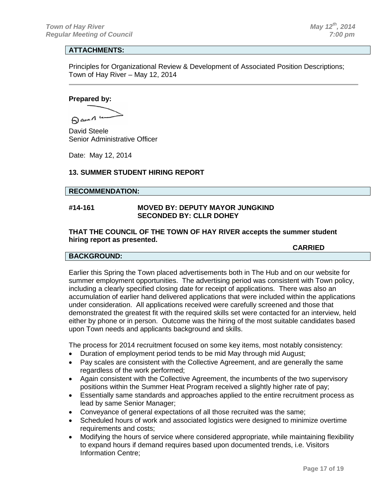## **ATTACHMENTS:**

Principles for Organizational Review & Development of Associated Position Descriptions; Town of Hay River – May 12, 2014

#### **Prepared by:**

Dama 4

David Steele Senior Administrative Officer

Date: May 12, 2014

#### **13. SUMMER STUDENT HIRING REPORT**

#### **RECOMMENDATION:**

## **#14-161 MOVED BY: DEPUTY MAYOR JUNGKIND SECONDED BY: CLLR DOHEY**

#### **THAT THE COUNCIL OF THE TOWN OF HAY RIVER accepts the summer student hiring report as presented.**

#### **CARRIED**

#### **BACKGROUND:**

Earlier this Spring the Town placed advertisements both in The Hub and on our website for summer employment opportunities. The advertising period was consistent with Town policy, including a clearly specified closing date for receipt of applications. There was also an accumulation of earlier hand delivered applications that were included within the applications under consideration. All applications received were carefully screened and those that demonstrated the greatest fit with the required skills set were contacted for an interview, held either by phone or in person. Outcome was the hiring of the most suitable candidates based upon Town needs and applicants background and skills.

The process for 2014 recruitment focused on some key items, most notably consistency:

- Duration of employment period tends to be mid May through mid August;
- Pay scales are consistent with the Collective Agreement, and are generally the same regardless of the work performed;
- Again consistent with the Collective Agreement, the incumbents of the two supervisory positions within the Summer Heat Program received a slightly higher rate of pay;
- Essentially same standards and approaches applied to the entire recruitment process as lead by same Senior Manager;
- Conveyance of general expectations of all those recruited was the same;
- Scheduled hours of work and associated logistics were designed to minimize overtime requirements and costs;
- Modifying the hours of service where considered appropriate, while maintaining flexibility to expand hours if demand requires based upon documented trends, i.e. Visitors Information Centre;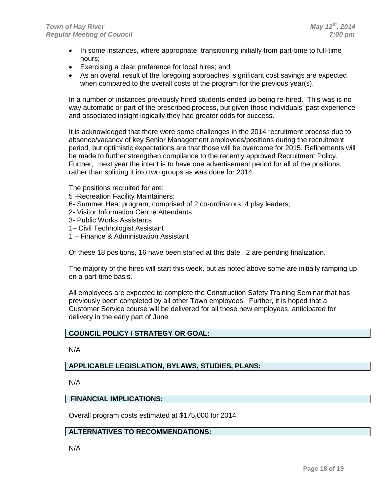- In some instances, where appropriate, transitioning initially from part-time to full-time hours;
- Exercising a clear preference for local hires; and
- As an overall result of the foregoing approaches, significant cost savings are expected when compared to the overall costs of the program for the previous year(s).

In a number of instances previously hired students ended up being re-hired. This was is no way automatic or part of the prescribed process, but given those individuals' past experience and associated insight logically they had greater odds for success.

It is acknowledged that there were some challenges in the 2014 recruitment process due to absence/vacancy of key Senior Management employees/positions during the recruitment period, but optimistic expectations are that those will be overcome for 2015. Refinements will be made to further strengthen compliance to the recently approved Recruitment Policy. Further, next year the intent is to have one advertisement period for all of the positions, rather than splitting it into two groups as was done for 2014.

The positions recruited for are:

- 5 -Recreation Facility Maintainers:
- 6- Summer Heat program; comprised of 2 co-ordinators, 4 play leaders;
- 2- Visitor Information Centre Attendants
- 3- Public Works Assistants
- 1– Civil Technologist Assistant
- 1 Finance & Administration Assistant

Of these 18 positions, 16 have been staffed at this date. 2 are pending finalization.

The majority of the hires will start this week, but as noted above some are initially ramping up on a part-time basis.

All employees are expected to complete the Construction Safety Training Seminar that has previously been completed by all other Town employees. Further, it is hoped that a Customer Service course will be delivered for all these new employees, anticipated for delivery in the early part of June.

## **COUNCIL POLICY / STRATEGY OR GOAL:**

N/A

## **APPLICABLE LEGISLATION, BYLAWS, STUDIES, PLANS:**

N/A

#### **FINANCIAL IMPLICATIONS:**

Overall program costs estimated at \$175,000 for 2014.

#### **ALTERNATIVES TO RECOMMENDATIONS:**